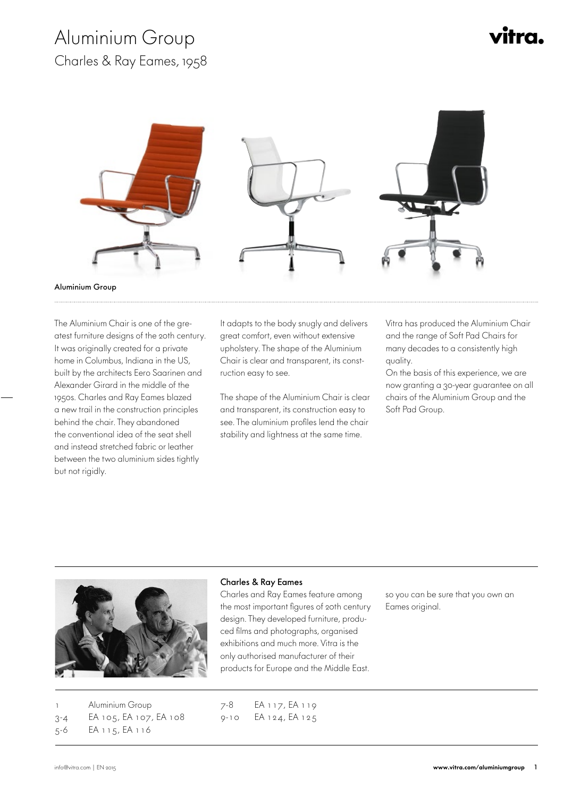### Aluminium Group Charles & Ray Eames, 1958

## itra.



Aluminium Group

The Aluminium Chair is one of the greatest furniture designs of the 20th century. It was originally created for a private home in Columbus, Indiana in the US, built by the architects Eero Saarinen and Alexander Girard in the middle of the 1950s. Charles and Ray Eames blazed a new trail in the construction principles behind the chair. They abandoned the conventional idea of the seat shell and instead stretched fabric or leather between the two aluminium sides tightly but not rigidly.

It adapts to the body snugly and delivers great comfort, even without extensive upholstery. The shape of the Aluminium Chair is clear and transparent, its construction easy to see.

The shape of the Aluminium Chair is clear and transparent, its construction easy to see. The aluminium profiles lend the chair stability and lightness at the same time.

Vitra has produced the Aluminium Chair and the range of Soft Pad Chairs for many decades to a consistently high quality.

On the basis of this experience, we are now granting a 30-year guarantee on all chairs of the Aluminium Group and the Soft Pad Group.



1 Aluminium Group 3-4 EA 105, EA 107, EA 108 5-6 EA 115, EA 116

Charles & Ray Eames

Charles and Ray Eames feature among the most important figures of 20th century design. They developed furniture, produced films and photographs, organised exhibitions and much more. Vitra is the only authorised manufacturer of their products for Europe and the Middle East.

so you can be sure that you own an Eames original.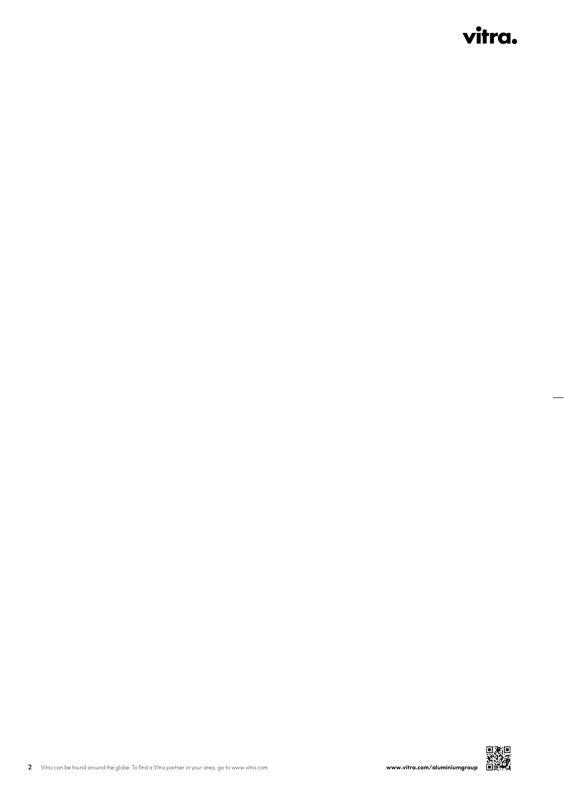### vitra.

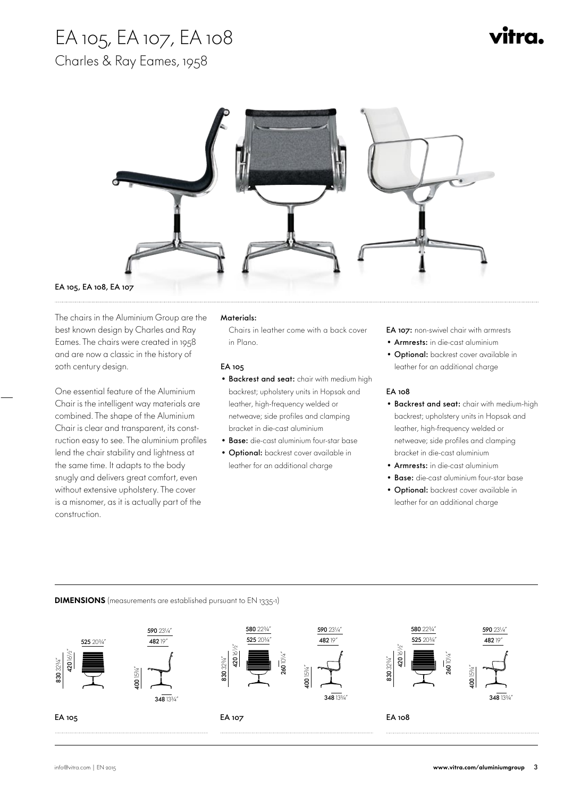# EA 105, EA 107, EA 108

Charles & Ray Eames, 1958



The chairs in the Aluminium Group are the best known design by Charles and Ray Eames. The chairs were created in 1958 and are now a classic in the history of

20th century design.

One essential feature of the Aluminium Chair is the intelligent way materials are combined. The shape of the Aluminium Chair is clear and transparent, its construction easy to see. The aluminium profiles lend the chair stability and lightness at the same time. It adapts to the body snugly and delivers great comfort, even without extensive upholstery. The cover is a misnomer, as it is actually part of the construction.

### Materials:

Chairs in leather come with a back cover in Plano.

### EA 105

- **Backrest and seat:** chair with medium high backrest; upholstery units in Hopsak and leather, high-frequency welded or netweave; side profiles and clamping bracket in die-cast aluminium
- **Base:** die-cast aluminium four-star base
- Optional: backrest cover available in leather for an additional charge
- EA 107: non-swivel chair with armrests
- **Armrests:** in die-cast aluminium
- Optional: backrest cover available in leather for an additional charge

### EA 108

- **Backrest and seat:** chair with medium-high backrest; upholstery units in Hopsak and leather, high-frequency welded or netweave; side profiles and clamping bracket in die-cast aluminium
- **Armrests:** in die-cast aluminium
- **Base:** die-cast aluminium four-star base
- Optional: backrest cover available in leather for an additional charge

### DIMENSIONS (measurements are established pursuant to EN 1335-1)

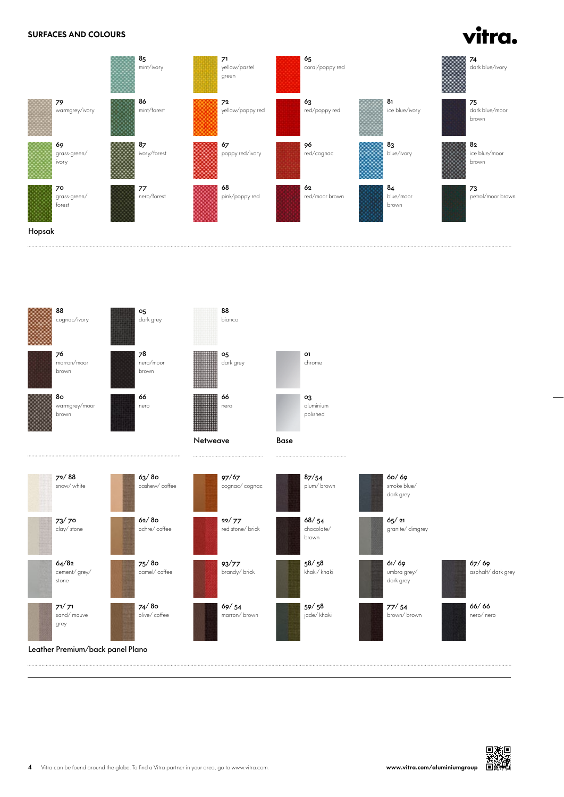



Leather Premium/back panel Plano

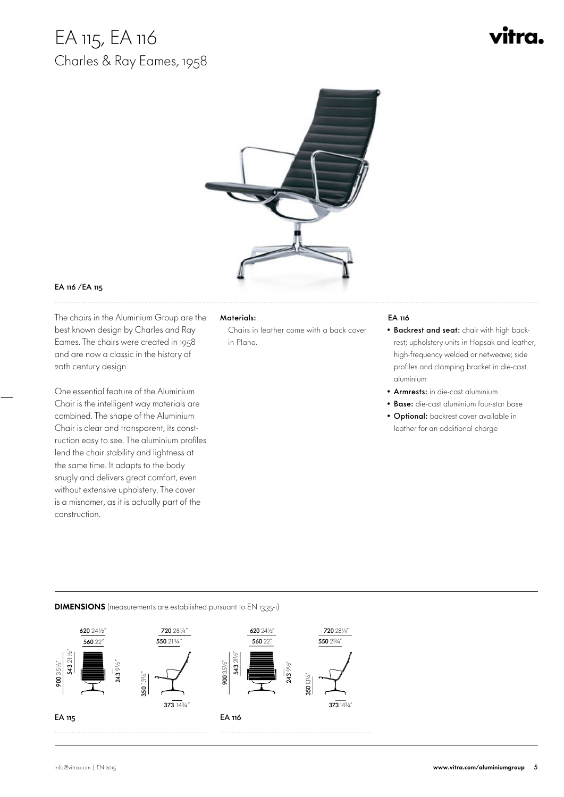### EA 115, EA 116 Charles & Ray Eames, 1958



### EA 116 /EA 115

The chairs in the Aluminium Group are the best known design by Charles and Ray Eames. The chairs were created in 1958 and are now a classic in the history of 20th century design.

One essential feature of the Aluminium Chair is the intelligent way materials are combined. The shape of the Aluminium Chair is clear and transparent, its construction easy to see. The aluminium profiles lend the chair stability and lightness at the same time. It adapts to the body snugly and delivers great comfort, even without extensive upholstery. The cover is a misnomer, as it is actually part of the construction.

#### Materials:

Chairs in leather come with a back cover in Plano.

#### EA 116

- **Backrest and seat:** chair with high backrest; upholstery units in Hopsak and leather, high-frequency welded or netweave; side profiles and clamping bracket in die-cast aluminium
- **Armrests:** in die-cast aluminium
- **Base:** die-cast aluminium four-star base
- Optional: backrest cover available in leather for an additional charge



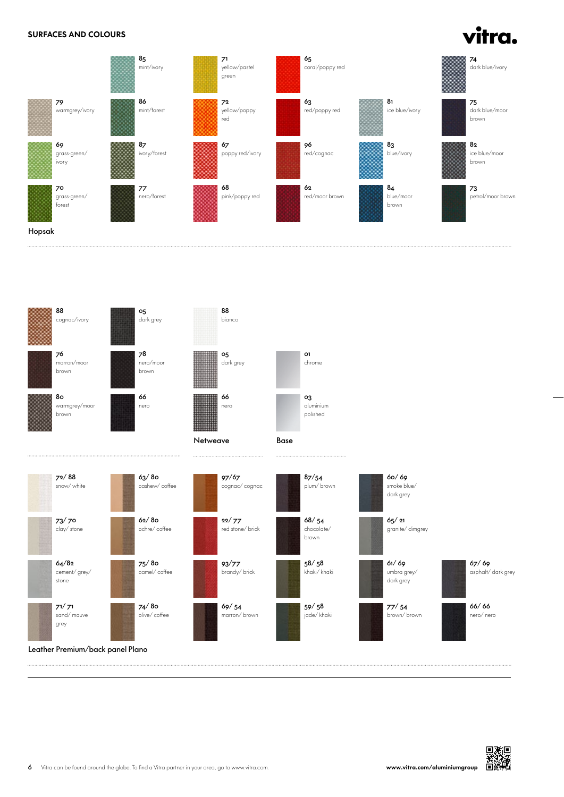#### SURFACES AND COLOURS





Leather Premium/back panel Plano

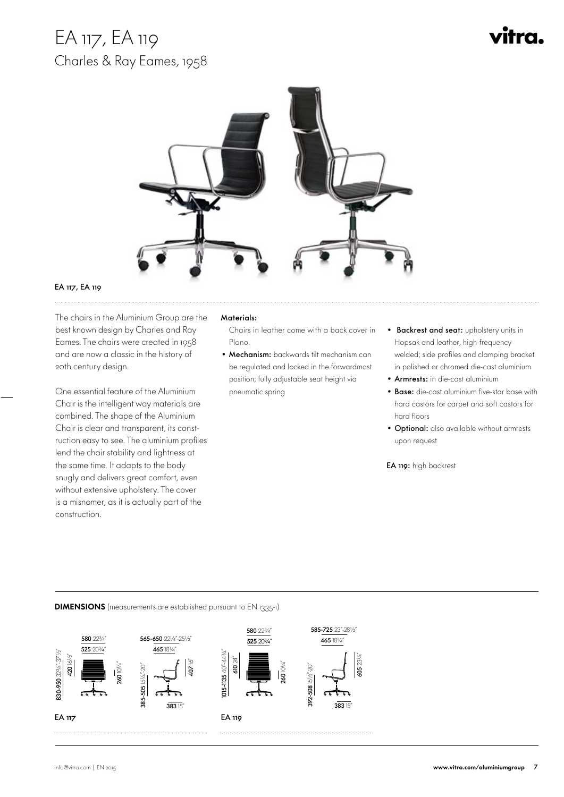### EA 117, EA 119 Charles & Ray Eames, 1958



### EA 117, EA 119

The chairs in the Aluminium Group are the best known design by Charles and Ray Eames. The chairs were created in 1958 and are now a classic in the history of 20th century design.

One essential feature of the Aluminium Chair is the intelligent way materials are combined. The shape of the Aluminium Chair is clear and transparent, its construction easy to see. The aluminium profiles lend the chair stability and lightness at the same time. It adapts to the body snugly and delivers great comfort, even without extensive upholstery. The cover is a misnomer, as it is actually part of the construction.

### Materials:

- Chairs in leather come with a back cover in Plano.
- **Mechanism:** backwards tilt mechanism can be regulated and locked in the forwardmost position; fully adjustable seat height via pneumatic spring
- **Backrest and seat:** upholstery units in Hopsak and leather, high-frequency welded; side profiles and clamping bracket in polished or chromed die-cast aluminium
- **Armrests:** in die-cast aluminium
- **Base:** die-cast aluminium five-star base with hard castors for carpet and soft castors for hard floors
- Optional: also available without armrests upon request

EA 119: high backrest

**DIMENSIONS** (measurements are established pursuant to EN 1335-1)

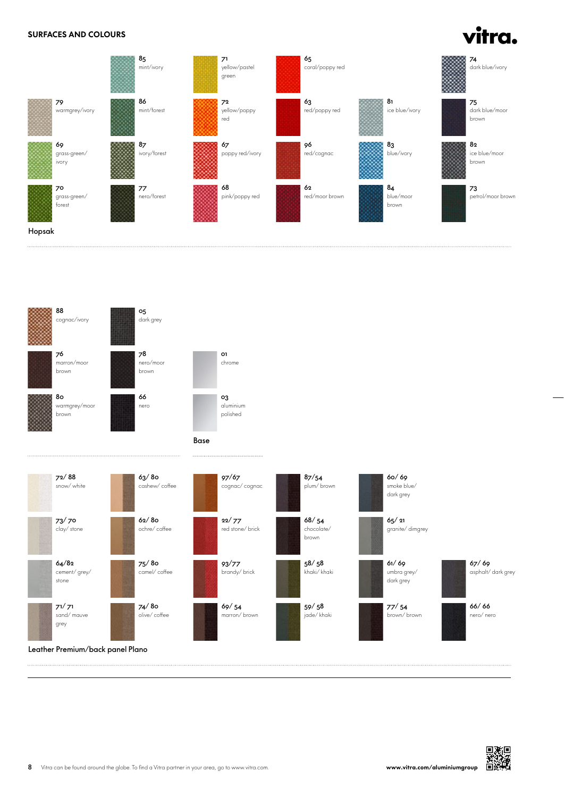#### SURFACES AND COLOURS







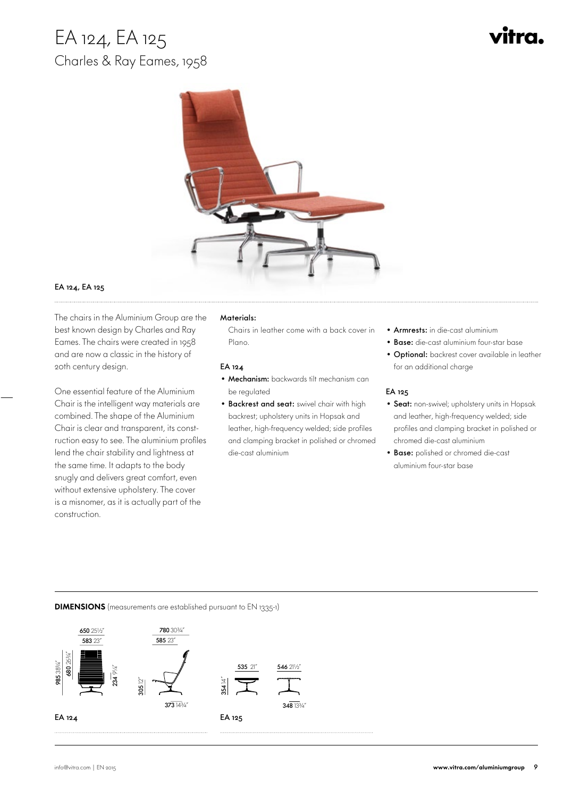### EA 124, EA 125 Charles & Ray Eames, 1958



### EA 124, EA 125

The chairs in the Aluminium Group are the best known design by Charles and Ray Eames. The chairs were created in 1958 and are now a classic in the history of 20th century design.

One essential feature of the Aluminium Chair is the intelligent way materials are combined. The shape of the Aluminium Chair is clear and transparent, its construction easy to see. The aluminium profiles lend the chair stability and lightness at the same time. It adapts to the body snugly and delivers great comfort, even without extensive upholstery. The cover is a misnomer, as it is actually part of the construction.

#### Materials:

Chairs in leather come with a back cover in Plano.

### EA 124

- Mechanism: backwards tilt mechanism can be regulated
- **Backrest and seat:** swivel chair with high backrest; upholstery units in Hopsak and leather, high-frequency welded; side profiles and clamping bracket in polished or chromed die-cast aluminium
- ƒ Armrests: in die-cast aluminium
- **Base:** die-cast aluminium four-star base
- Optional: backrest cover available in leather for an additional charge

#### EA 125

- Seat: non-swivel; upholstery units in Hopsak and leather, high-frequency welded; side profiles and clamping bracket in polished or chromed die-cast aluminium
- Base: polished or chromed die-cast aluminium four-star base



**DIMENSIONS** (measurements are established pursuant to EN 1335-1)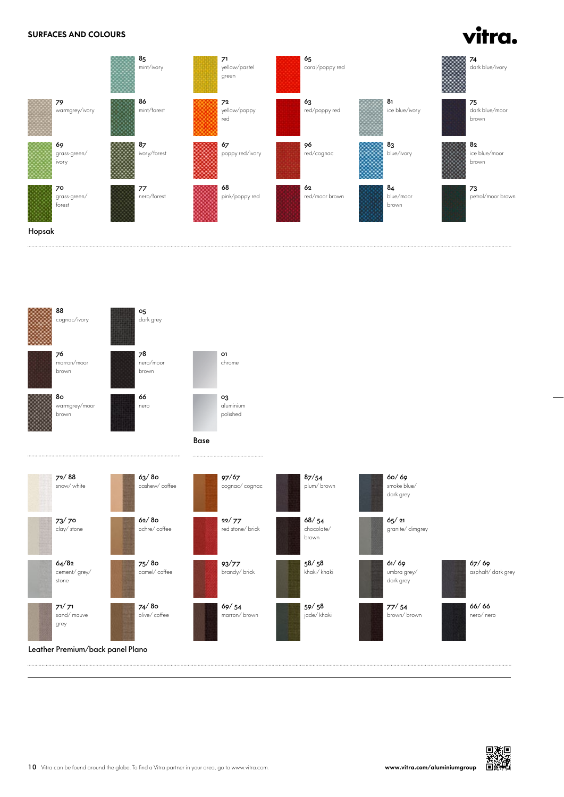#### SURFACES AND COLOURS







Leather Premium/back panel Plano

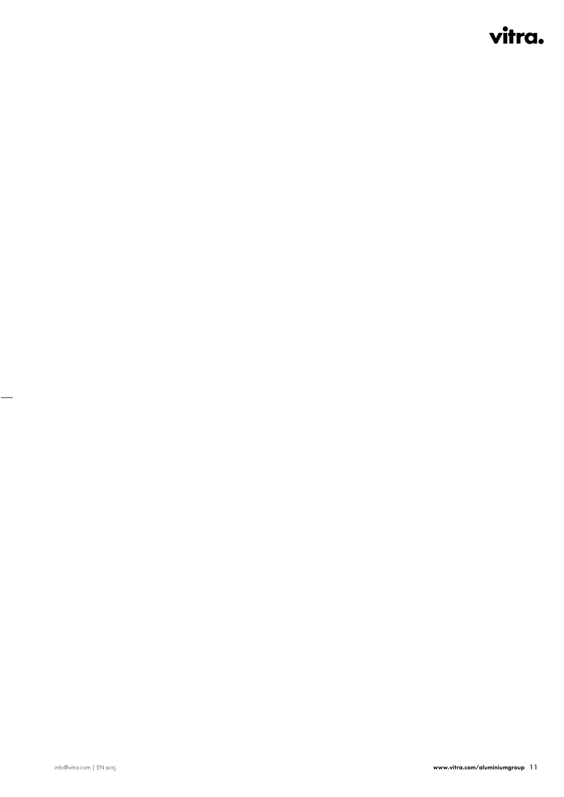### vitra.